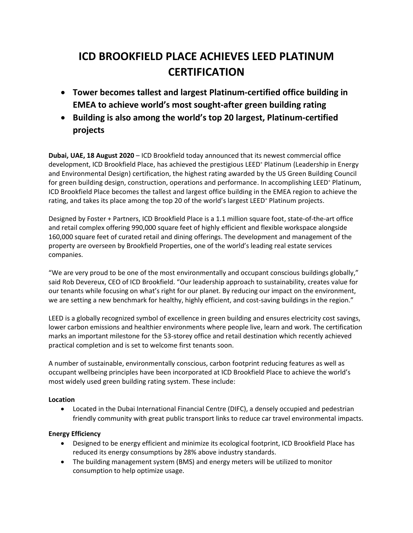# **ICD BROOKFIELD PLACE ACHIEVES LEED PLATINUM CERTIFICATION**

- **Tower becomes tallest and largest Platinum-certified office building in EMEA to achieve world's most sought-after green building rating**
- **Building is also among the world's top 20 largest, Platinum-certified projects**

**Dubai, UAE, 18 August 2020** – ICD Brookfield today announced that its newest commercial office development, ICD Brookfield Place, has achieved the prestigious LEED® Platinum (Leadership in Energy and Environmental Design) certification, the highest rating awarded by the US Green Building Council for green building design, construction, operations and performance. In accomplishing LEED<sup>®</sup> Platinum, ICD Brookfield Place becomes the tallest and largest office building in the EMEA region to achieve the rating, and takes its place among the top 20 of the world's largest LEED<sup>®</sup> Platinum projects.

Designed by Foster + Partners, ICD Brookfield Place is a 1.1 million square foot, state-of-the-art office and retail complex offering 990,000 square feet of highly efficient and flexible workspace alongside 160,000 square feet of curated retail and dining offerings. The development and management of the property are overseen by Brookfield Properties, one of the world's leading real estate services companies.

"We are very proud to be one of the most environmentally and occupant conscious buildings globally," said Rob Devereux, CEO of ICD Brookfield. "Our leadership approach to sustainability, creates value for our tenants while focusing on what's right for our planet. By reducing our impact on the environment, we are setting a new benchmark for healthy, highly efficient, and cost-saving buildings in the region."

LEED is a globally recognized symbol of excellence in green building and ensures electricity cost savings, lower carbon emissions and healthier environments where people live, learn and work. The certification marks an important milestone for the 53-storey office and retail destination which recently achieved practical completion and is set to welcome first tenants soon.

A number of sustainable, environmentally conscious, carbon footprint reducing features as well as occupant wellbeing principles have been incorporated at ICD Brookfield Place to achieve the world's most widely used green building rating system. These include:

# **Location**

• Located in the Dubai International Financial Centre (DIFC), a densely occupied and pedestrian friendly community with great public transport links to reduce car travel environmental impacts.

# **Energy Efficiency**

- Designed to be energy efficient and minimize its ecological footprint, ICD Brookfield Place has reduced its energy consumptions by 28% above industry standards.
- The building management system (BMS) and energy meters will be utilized to monitor consumption to help optimize usage.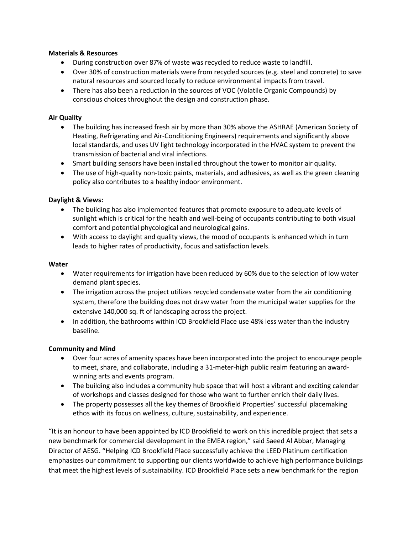## **Materials & Resources**

- During construction over 87% of waste was recycled to reduce waste to landfill.
- Over 30% of construction materials were from recycled sources (e.g. steel and concrete) to save natural resources and sourced locally to reduce environmental impacts from travel.
- There has also been a reduction in the sources of VOC (Volatile Organic Compounds) by conscious choices throughout the design and construction phase.

# **Air Quality**

- The building has increased fresh air by more than 30% above the ASHRAE (American Society of Heating, Refrigerating and Air-Conditioning Engineers) requirements and significantly above local standards, and uses UV light technology incorporated in the HVAC system to prevent the transmission of bacterial and viral infections.
- Smart building sensors have been installed throughout the tower to monitor air quality.
- The use of high-quality non-toxic paints, materials, and adhesives, as well as the green cleaning policy also contributes to a healthy indoor environment.

# **Daylight & Views:**

- The building has also implemented features that promote exposure to adequate levels of sunlight which is critical for the health and well-being of occupants contributing to both visual comfort and potential phycological and neurological gains.
- With access to daylight and quality views, the mood of occupants is enhanced which in turn leads to higher rates of productivity, focus and satisfaction levels.

## **Water**

- Water requirements for irrigation have been reduced by 60% due to the selection of low water demand plant species.
- The irrigation across the project utilizes recycled condensate water from the air conditioning system, therefore the building does not draw water from the municipal water supplies for the extensive 140,000 sq. ft of landscaping across the project.
- In addition, the bathrooms within ICD Brookfield Place use 48% less water than the industry baseline.

## **Community and Mind**

- Over four acres of amenity spaces have been incorporated into the project to encourage people to meet, share, and collaborate, including a 31-meter-high public realm featuring an awardwinning arts and events program.
- The building also includes a community hub space that will host a vibrant and exciting calendar of workshops and classes designed for those who want to further enrich their daily lives.
- The property possesses all the key themes of Brookfield Properties' successful placemaking ethos with its focus on wellness, culture, sustainability, and experience.

"It is an honour to have been appointed by ICD Brookfield to work on this incredible project that sets a new benchmark for commercial development in the EMEA region," said Saeed Al Abbar, Managing Director of AESG. "Helping ICD Brookfield Place successfully achieve the LEED Platinum certification emphasizes our commitment to supporting our clients worldwide to achieve high performance buildings that meet the highest levels of sustainability. ICD Brookfield Place sets a new benchmark for the region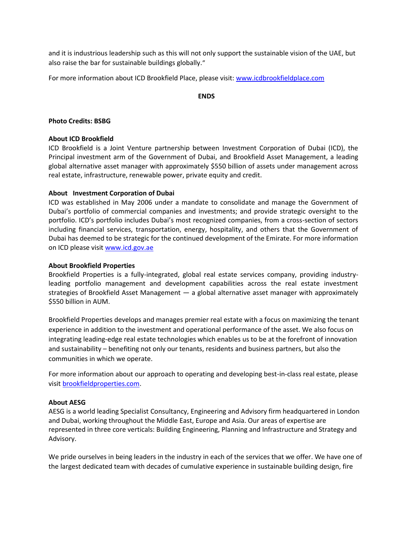and it is industrious leadership such as this will not only support the sustainable vision of the UAE, but also raise the bar for sustainable buildings globally."

For more information about ICD Brookfield Place, please visit: [www.icdbrookfieldplace.com](http://www.icdbrookfieldplace.com/)

**ENDS**

### **Photo Credits: BSBG**

### **About ICD Brookfield**

ICD Brookfield is a Joint Venture partnership between Investment Corporation of Dubai (ICD), the Principal investment arm of the Government of Dubai, and Brookfield Asset Management, a leading global alternative asset manager with approximately \$550 billion of assets under management across real estate, infrastructure, renewable power, private equity and credit.

### **About Investment Corporation of Dubai**

ICD was established in May 2006 under a mandate to consolidate and manage the Government of Dubai's portfolio of commercial companies and investments; and provide strategic oversight to the portfolio. ICD's portfolio includes Dubai's most recognized companies, from a cross-section of sectors including financial services, transportation, energy, hospitality, and others that the Government of Dubai has deemed to be strategic for the continued development of the Emirate. For more information on ICD please visit [www.icd.gov.ae](http://www.icd.gov.ae/)

### **About Brookfield Properties**

Brookfield Properties is a fully-integrated, global real estate services company, providing industryleading portfolio management and development capabilities across the real estate investment strategies of Brookfield Asset Management — a global alternative asset manager with approximately \$550 billion in AUM.

Brookfield Properties develops and manages premier real estate with a focus on maximizing the tenant experience in addition to the investment and operational performance of the asset. We also focus on integrating leading-edge real estate technologies which enables us to be at the forefront of innovation and sustainability – benefiting not only our tenants, residents and business partners, but also the communities in which we operate.

For more information about our approach to operating and developing best-in-class real estate, please visi[t brookfieldproperties.com.](http://brookfieldproperties.com/)

#### **About AESG**

AESG is a world leading Specialist Consultancy, Engineering and Advisory firm headquartered in London and Dubai, working throughout the Middle East, Europe and Asia. Our areas of expertise are represented in three core verticals: Building Engineering, Planning and Infrastructure and Strategy and Advisory.

We pride ourselves in being leaders in the industry in each of the services that we offer. We have one of the largest dedicated team with decades of cumulative experience in sustainable building design, fire